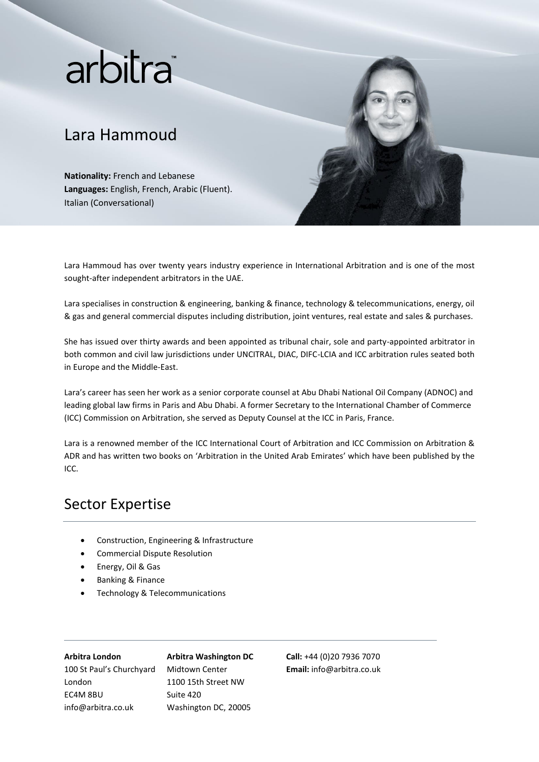# arbitra®

## Lara Hammoud

**Nationality:** French and Lebanese **Languages:** English, French, Arabic (Fluent). Italian (Conversational)



Lara Hammoud has over twenty years industry experience in International Arbitration and is one of the most sought-after independent arbitrators in the UAE.

Lara specialises in construction & engineering, banking & finance, technology & telecommunications, energy, oil & gas and general commercial disputes including distribution, joint ventures, real estate and sales & purchases.

She has issued over thirty awards and been appointed as tribunal chair, sole and party-appointed arbitrator in both common and civil law jurisdictions under UNCITRAL, DIAC, DIFC-LCIA and ICC arbitration rules seated both in Europe and the Middle-East.

Lara's career has seen her work as a senior corporate counsel at Abu Dhabi National Oil Company (ADNOC) and leading global law firms in Paris and Abu Dhabi. A former Secretary to the International Chamber of Commerce (ICC) Commission on Arbitration, she served as Deputy Counsel at the ICC in Paris, France.

Lara is a renowned member of the ICC International Court of Arbitration and ICC Commission on Arbitration & ADR and has written two books on 'Arbitration in the United Arab Emirates' which have been published by the ICC.

## Sector Expertise

- Construction, Engineering & Infrastructure
- Commercial Dispute Resolution
- Energy, Oil & Gas
- Banking & Finance
- Technology & Telecommunications

### **Arbitra London**

info@arbitra.co.uk

London EC4M 8BU

100 St Paul's Churchyard

**Arbitra Washington DC** Midtown Center 1100 15th Street NW Suite 420 Washington DC, 20005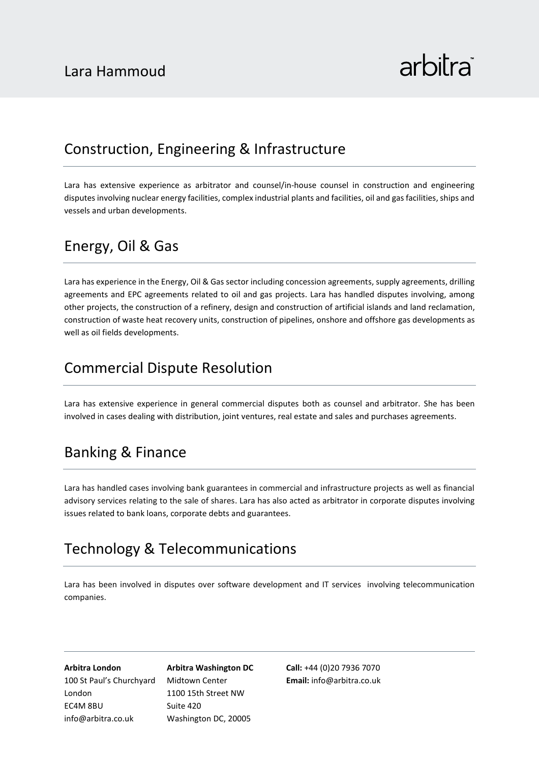### Construction, Engineering & Infrastructure

Lara has extensive experience as arbitrator and counsel/in-house counsel in construction and engineering disputes involving nuclear energy facilities, complex industrial plants and facilities, oil and gas facilities, ships and vessels and urban developments.

## Energy, Oil & Gas

Lara has experience in the Energy, Oil & Gas sector including concession agreements, supply agreements, drilling agreements and EPC agreements related to oil and gas projects. Lara has handled disputes involving, among other projects, the construction of a refinery, design and construction of artificial islands and land reclamation, construction of waste heat recovery units, construction of pipelines, onshore and offshore gas developments as well as oil fields developments.

## Commercial Dispute Resolution

Lara has extensive experience in general commercial disputes both as counsel and arbitrator. She has been involved in cases dealing with distribution, joint ventures, real estate and sales and purchases agreements.

## Banking & Finance

Lara has handled cases involving bank guarantees in commercial and infrastructure projects as well as financial advisory services relating to the sale of shares. Lara has also acted as arbitrator in corporate disputes involving issues related to bank loans, corporate debts and guarantees.

## Technology & Telecommunications

Lara has been involved in disputes over software development and IT services involving telecommunication companies.

**Arbitra London** 100 St Paul's Churchyard London EC4M 8BU info@arbitra.co.uk

**Arbitra Washington DC** Midtown Center 1100 15th Street NW Suite 420 Washington DC, 20005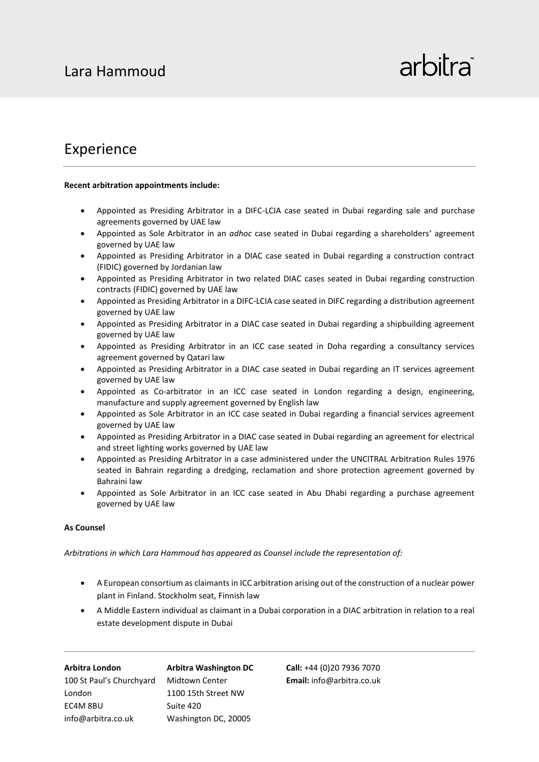### Experience

### **Recent arbitration appointments include:**

- Appointed as Presiding Arbitrator in a DIFC-LCIA case seated in Dubai regarding sale and purchase agreements governed by UAE law
- Appointed as Sole Arbitrator in an *adhoc* case seated in Dubai regarding a shareholders' agreement governed by UAE law
- Appointed as Presiding Arbitrator in a DIAC case seated in Dubai regarding a construction contract (FIDIC) governed by Jordanian law
- Appointed as Presiding Arbitrator in two related DIAC cases seated in Dubai regarding construction contracts (FIDIC) governed by UAE law
- Appointed as Presiding Arbitrator in a DIFC-LCIA case seated in DIFC regarding a distribution agreement governed by UAE law
- Appointed as Presiding Arbitrator in a DIAC case seated in Dubai regarding a shipbuilding agreement governed by UAE law
- Appointed as Presiding Arbitrator in an ICC case seated in Doha regarding a consultancy services agreement governed by Qatari law
- Appointed as Presiding Arbitrator in a DIAC case seated in Dubai regarding an IT services agreement governed by UAE law
- Appointed as Co-arbitrator in an ICC case seated in London regarding a design, engineering, manufacture and supply agreement governed by English law
- Appointed as Sole Arbitrator in an ICC case seated in Dubai regarding a financial services agreement governed by UAE law
- Appointed as Presiding Arbitrator in a DIAC case seated in Dubai regarding an agreement for electrical and street lighting works governed by UAE law
- Appointed as Presiding Arbitrator in a case administered under the UNCITRAL Arbitration Rules 1976 seated in Bahrain regarding a dredging, reclamation and shore protection agreement governed by Bahraini law
- Appointed as Sole Arbitrator in an ICC case seated in Abu Dhabi regarding a purchase agreement governed by UAE law

### **As Counsel**

*Arbitrations in which Lara Hammoud has appeared as Counsel include the representation of:*

- A European consortium as claimants in ICC arbitration arising out of the construction of a nuclear power plant in Finland. Stockholm seat, Finnish law
- A Middle Eastern individual as claimant in a Dubai corporation in a DIAC arbitration in relation to a real estate development dispute in Dubai

| Arbitra London           | <b>Arbitra Washington DC</b> |
|--------------------------|------------------------------|
| 100 St Paul's Churchyard | Midtown Center               |
| London                   | 1100 15th Street NW          |
| EC4M 8BU                 | Suite 420                    |
| info@arbitra.co.uk       | Washington DC, 20005         |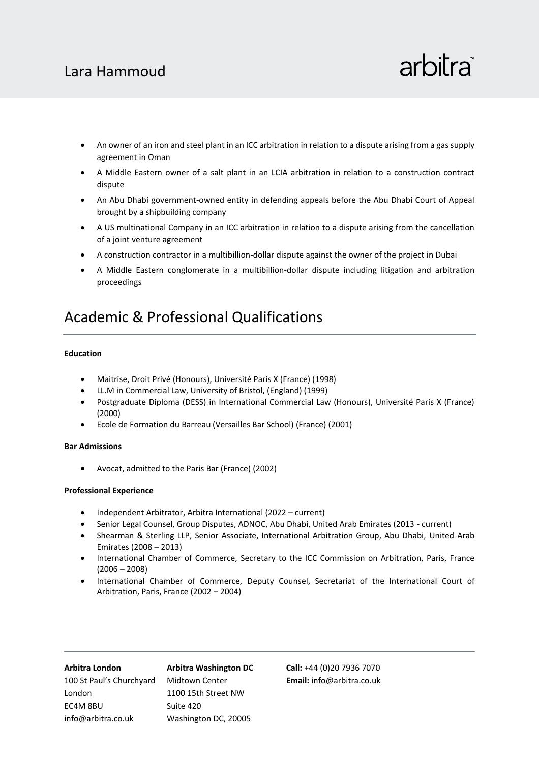## Lara Hammoud

## arbitra

- An owner of an iron and steel plant in an ICC arbitration in relation to a dispute arising from a gas supply agreement in Oman
- A Middle Eastern owner of a salt plant in an LCIA arbitration in relation to a construction contract dispute
- An Abu Dhabi government-owned entity in defending appeals before the Abu Dhabi Court of Appeal brought by a shipbuilding company
- A US multinational Company in an ICC arbitration in relation to a dispute arising from the cancellation of a joint venture agreement
- A construction contractor in a multibillion-dollar dispute against the owner of the project in Dubai
- A Middle Eastern conglomerate in a multibillion-dollar dispute including litigation and arbitration proceedings

## Academic & Professional Qualifications

### **Education**

- Maitrise, Droit Privé (Honours), Université Paris X (France) (1998)
- LL.M in Commercial Law, University of Bristol, (England) (1999)
- Postgraduate Diploma (DESS) in International Commercial Law (Honours), Université Paris X (France) (2000)
- Ecole de Formation du Barreau (Versailles Bar School) (France) (2001)

### **Bar Admissions**

• Avocat, admitted to the Paris Bar (France) (2002)

### **Professional Experience**

- Independent Arbitrator, Arbitra International (2022 current)
- Senior Legal Counsel, Group Disputes, ADNOC, Abu Dhabi, United Arab Emirates (2013 current)
- Shearman & Sterling LLP, Senior Associate, International Arbitration Group, Abu Dhabi, United Arab Emirates (2008 – 2013)
- International Chamber of Commerce, Secretary to the ICC Commission on Arbitration, Paris, France (2006 – 2008)
- International Chamber of Commerce, Deputy Counsel, Secretariat of the International Court of Arbitration, Paris, France (2002 – 2004)

| Arbitra London           | <b>Arbitra Washington DC</b> |
|--------------------------|------------------------------|
| 100 St Paul's Churchyard | Midtown Center               |
| London                   | 1100 15th Street NW          |
| EC4M 8BU                 | Suite 420                    |
| info@arbitra.co.uk       | Washington DC, 20005         |